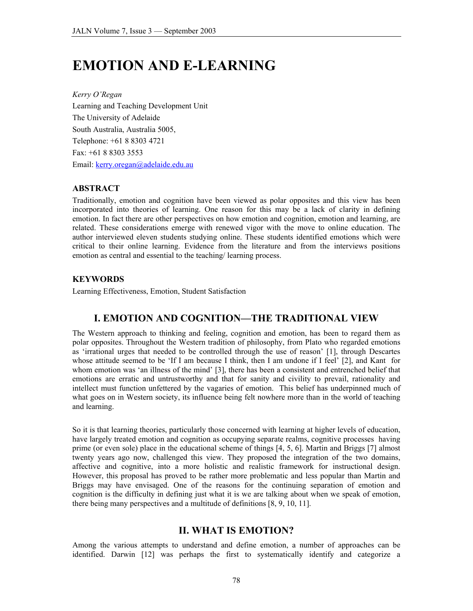# **EMOTION AND E-LEARNING**

*Kerry O'Regan*  Learning and Teaching Development Unit The University of Adelaide South Australia, Australia 5005, Telephone: +61 8 8303 4721 Fax: +61 8 8303 3553 Email: kerry.oregan@adelaide.edu.au

### **ABSTRACT**

Traditionally, emotion and cognition have been viewed as polar opposites and this view has been incorporated into theories of learning. One reason for this may be a lack of clarity in defining emotion. In fact there are other perspectives on how emotion and cognition, emotion and learning, are related. These considerations emerge with renewed vigor with the move to online education. The author interviewed eleven students studying online. These students identified emotions which were critical to their online learning. Evidence from the literature and from the interviews positions emotion as central and essential to the teaching/ learning process.

# **KEYWORDS**

Learning Effectiveness, Emotion, Student Satisfaction

# **I. EMOTION AND COGNITION—THE TRADITIONAL VIEW**

The Western approach to thinking and feeling, cognition and emotion, has been to regard them as polar opposites. Throughout the Western tradition of philosophy, from Plato who regarded emotions as 'irrational urges that needed to be controlled through the use of reason' [1], through Descartes whose attitude seemed to be 'If I am because I think, then I am undone if I feel' [2], and Kant for whom emotion was 'an illness of the mind' [3], there has been a consistent and entrenched belief that emotions are erratic and untrustworthy and that for sanity and civility to prevail, rationality and intellect must function unfettered by the vagaries of emotion. This belief has underpinned much of what goes on in Western society, its influence being felt nowhere more than in the world of teaching and learning.

So it is that learning theories, particularly those concerned with learning at higher levels of education, have largely treated emotion and cognition as occupying separate realms, cognitive processes having prime (or even sole) place in the educational scheme of things [4, 5, 6]. Martin and Briggs [7] almost twenty years ago now, challenged this view. They proposed the integration of the two domains, affective and cognitive, into a more holistic and realistic framework for instructional design. However, this proposal has proved to be rather more problematic and less popular than Martin and Briggs may have envisaged. One of the reasons for the continuing separation of emotion and cognition is the difficulty in defining just what it is we are talking about when we speak of emotion, there being many perspectives and a multitude of definitions [8, 9, 10, 11].

# **II. WHAT IS EMOTION?**

Among the various attempts to understand and define emotion, a number of approaches can be identified. Darwin [12] was perhaps the first to systematically identify and categorize a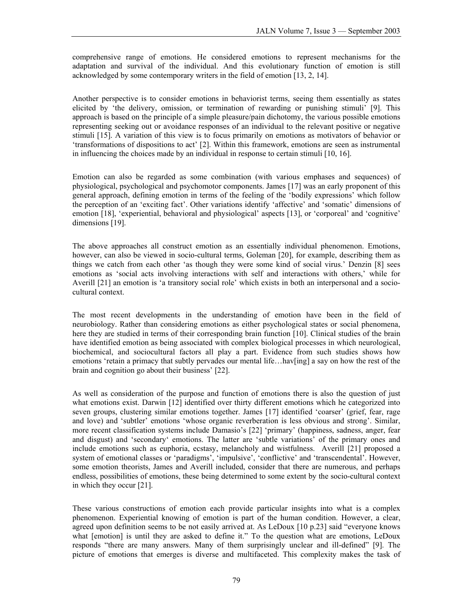comprehensive range of emotions. He considered emotions to represent mechanisms for the adaptation and survival of the individual. And this evolutionary function of emotion is still acknowledged by some contemporary writers in the field of emotion [13, 2, 14].

Another perspective is to consider emotions in behaviorist terms, seeing them essentially as states elicited by 'the delivery, omission, or termination of rewarding or punishing stimuli' [9]. This approach is based on the principle of a simple pleasure/pain dichotomy, the various possible emotions representing seeking out or avoidance responses of an individual to the relevant positive or negative stimuli [15]. A variation of this view is to focus primarily on emotions as motivators of behavior or 'transformations of dispositions to act' [2]. Within this framework, emotions are seen as instrumental in influencing the choices made by an individual in response to certain stimuli [10, 16].

Emotion can also be regarded as some combination (with various emphases and sequences) of physiological, psychological and psychomotor components. James [17] was an early proponent of this general approach, defining emotion in terms of the feeling of the 'bodily expressions' which follow the perception of an 'exciting fact'. Other variations identify 'affective' and 'somatic' dimensions of emotion [18], 'experiential, behavioral and physiological' aspects [13], or 'corporeal' and 'cognitive' dimensions [19].

The above approaches all construct emotion as an essentially individual phenomenon. Emotions, however, can also be viewed in socio-cultural terms, Goleman [20], for example, describing them as things we catch from each other 'as though they were some kind of social virus.' Denzin [8] sees emotions as 'social acts involving interactions with self and interactions with others,' while for Averill [21] an emotion is 'a transitory social role' which exists in both an interpersonal and a sociocultural context.

The most recent developments in the understanding of emotion have been in the field of neurobiology. Rather than considering emotions as either psychological states or social phenomena, here they are studied in terms of their corresponding brain function [10]. Clinical studies of the brain have identified emotion as being associated with complex biological processes in which neurological, biochemical, and sociocultural factors all play a part. Evidence from such studies shows how emotions 'retain a primacy that subtly pervades our mental life...hav[ing] a say on how the rest of the brain and cognition go about their business' [22].

As well as consideration of the purpose and function of emotions there is also the question of just what emotions exist. Darwin [12] identified over thirty different emotions which he categorized into seven groups, clustering similar emotions together. James [17] identified 'coarser' (grief, fear, rage and love) and 'subtler' emotions 'whose organic reverberation is less obvious and strong'. Similar, more recent classification systems include Damasio's [22] 'primary' (happiness, sadness, anger, fear and disgust) and 'secondary' emotions. The latter are 'subtle variations' of the primary ones and include emotions such as euphoria, ecstasy, melancholy and wistfulness. Averill [21] proposed a system of emotional classes or 'paradigms', 'impulsive', 'conflictive' and 'transcendental'. However, some emotion theorists, James and Averill included, consider that there are numerous, and perhaps endless, possibilities of emotions, these being determined to some extent by the socio-cultural context in which they occur [21].

These various constructions of emotion each provide particular insights into what is a complex phenomenon. Experiential knowing of emotion is part of the human condition. However, a clear, agreed upon definition seems to be not easily arrived at. As LeDoux [10 p.23] said "everyone knows what [emotion] is until they are asked to define it." To the question what are emotions, LeDoux responds "there are many answers. Many of them surprisingly unclear and ill-defined" [9]. The picture of emotions that emerges is diverse and multifaceted. This complexity makes the task of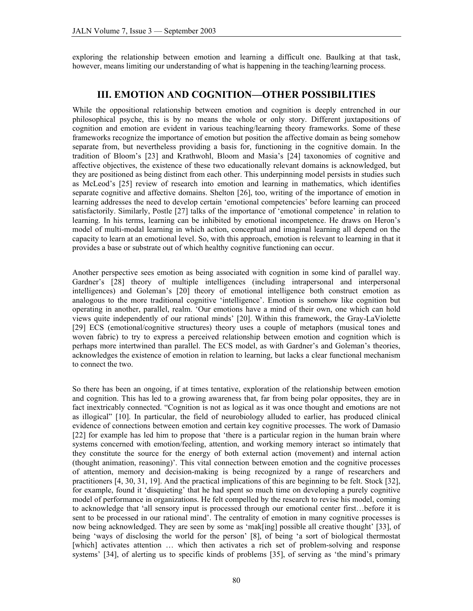exploring the relationship between emotion and learning a difficult one. Baulking at that task, however, means limiting our understanding of what is happening in the teaching/learning process.

### **III. EMOTION AND COGNITION—OTHER POSSIBILITIES**

While the oppositional relationship between emotion and cognition is deeply entrenched in our philosophical psyche, this is by no means the whole or only story. Different juxtapositions of cognition and emotion are evident in various teaching/learning theory frameworks. Some of these frameworks recognize the importance of emotion but position the affective domain as being somehow separate from, but nevertheless providing a basis for, functioning in the cognitive domain. In the tradition of Bloom's [23] and Krathwohl, Bloom and Masia's [24] taxonomies of cognitive and affective objectives, the existence of these two educationally relevant domains is acknowledged, but they are positioned as being distinct from each other. This underpinning model persists in studies such as McLeod's [25] review of research into emotion and learning in mathematics, which identifies separate cognitive and affective domains. Shelton [26], too, writing of the importance of emotion in learning addresses the need to develop certain 'emotional competencies' before learning can proceed satisfactorily. Similarly, Postle [27] talks of the importance of 'emotional competence' in relation to learning. In his terms, learning can be inhibited by emotional incompetence. He draws on Heron's model of multi-modal learning in which action, conceptual and imaginal learning all depend on the capacity to learn at an emotional level. So, with this approach, emotion is relevant to learning in that it provides a base or substrate out of which healthy cognitive functioning can occur.

Another perspective sees emotion as being associated with cognition in some kind of parallel way. Gardner's [28] theory of multiple intelligences (including intrapersonal and interpersonal intelligences) and Goleman's [20] theory of emotional intelligence both construct emotion as analogous to the more traditional cognitive 'intelligence'. Emotion is somehow like cognition but operating in another, parallel, realm. 'Our emotions have a mind of their own, one which can hold views quite independently of our rational minds' [20]. Within this framework, the Gray-LaViolette [29] ECS (emotional/cognitive structures) theory uses a couple of metaphors (musical tones and woven fabric) to try to express a perceived relationship between emotion and cognition which is perhaps more intertwined than parallel. The ECS model, as with Gardner's and Goleman's theories, acknowledges the existence of emotion in relation to learning, but lacks a clear functional mechanism to connect the two.

So there has been an ongoing, if at times tentative, exploration of the relationship between emotion and cognition. This has led to a growing awareness that, far from being polar opposites, they are in fact inextricably connected. "Cognition is not as logical as it was once thought and emotions are not as illogical" [10]. In particular, the field of neurobiology alluded to earlier, has produced clinical evidence of connections between emotion and certain key cognitive processes. The work of Damasio [22] for example has led him to propose that 'there is a particular region in the human brain where systems concerned with emotion/feeling, attention, and working memory interact so intimately that they constitute the source for the energy of both external action (movement) and internal action (thought animation, reasoning)'. This vital connection between emotion and the cognitive processes of attention, memory and decision-making is being recognized by a range of researchers and practitioners [4, 30, 31, 19]. And the practical implications of this are beginning to be felt. Stock [32], for example, found it 'disquieting' that he had spent so much time on developing a purely cognitive model of performance in organizations. He felt compelled by the research to revise his model, coming to acknowledge that 'all sensory input is processed through our emotional center first…before it is sent to be processed in our rational mind'. The centrality of emotion in many cognitive processes is now being acknowledged. They are seen by some as 'mak[ing] possible all creative thought' [33], of being 'ways of disclosing the world for the person' [8], of being 'a sort of biological thermostat [which] activates attention … which then activates a rich set of problem-solving and response systems' [34], of alerting us to specific kinds of problems [35], of serving as 'the mind's primary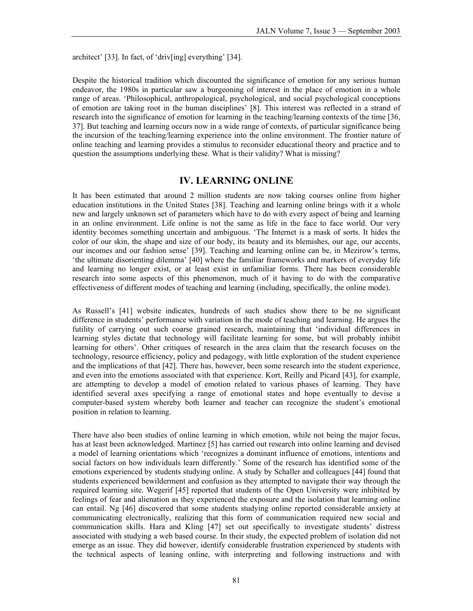architect' [33]. In fact, of 'driv[ing] everything' [34].

Despite the historical tradition which discounted the significance of emotion for any serious human endeavor, the 1980s in particular saw a burgeoning of interest in the place of emotion in a whole range of areas. 'Philosophical, anthropological, psychological, and social psychological conceptions of emotion are taking root in the human disciplines' [8]. This interest was reflected in a strand of research into the significance of emotion for learning in the teaching/learning contexts of the time [36, 37]. But teaching and learning occurs now in a wide range of contexts, of particular significance being the incursion of the teaching/learning experience into the online environment. The frontier nature of online teaching and learning provides a stimulus to reconsider educational theory and practice and to question the assumptions underlying these. What is their validity? What is missing?

### **IV. LEARNING ONLINE**

It has been estimated that around 2 million students are now taking courses online from higher education institutions in the United States [38]. Teaching and learning online brings with it a whole new and largely unknown set of parameters which have to do with every aspect of being and learning in an online environment. Life online is not the same as life in the face to face world. Our very identity becomes something uncertain and ambiguous. 'The Internet is a mask of sorts. It hides the color of our skin, the shape and size of our body, its beauty and its blemishes, our age, our accents, our incomes and our fashion sense' [39]. Teaching and learning online can be, in Mezirow's terms, 'the ultimate disorienting dilemma' [40] where the familiar frameworks and markers of everyday life and learning no longer exist, or at least exist in unfamiliar forms. There has been considerable research into some aspects of this phenomenon, much of it having to do with the comparative effectiveness of different modes of teaching and learning (including, specifically, the online mode).

As Russell's [41] website indicates, hundreds of such studies show there to be no significant difference in students' performance with variation in the mode of teaching and learning. He argues the futility of carrying out such coarse grained research, maintaining that 'individual differences in learning styles dictate that technology will facilitate learning for some, but will probably inhibit learning for others'. Other critiques of research in the area claim that the research focuses on the technology, resource efficiency, policy and pedagogy, with little exploration of the student experience and the implications of that [42]. There has, however, been some research into the student experience, and even into the emotions associated with that experience. Kort, Reilly and Picard [43], for example, are attempting to develop a model of emotion related to various phases of learning. They have identified several axes specifying a range of emotional states and hope eventually to devise a computer-based system whereby both learner and teacher can recognize the student's emotional position in relation to learning.

There have also been studies of online learning in which emotion, while not being the major focus, has at least been acknowledged. Martinez [5] has carried out research into online learning and devised a model of learning orientations which 'recognizes a dominant influence of emotions, intentions and social factors on how individuals learn differently.' Some of the research has identified some of the emotions experienced by students studying online. A study by Schaller and colleagues [44] found that students experienced bewilderment and confusion as they attempted to navigate their way through the required learning site. Wegerif [45] reported that students of the Open University were inhibited by feelings of fear and alienation as they experienced the exposure and the isolation that learning online can entail. Ng [46] discovered that some students studying online reported considerable anxiety at communicating electronically, realizing that this form of communication required new social and communication skills. Hara and Kling [47] set out specifically to investigate students' distress associated with studying a web based course. In their study, the expected problem of isolation did not emerge as an issue. They did however, identify considerable frustration experienced by students with the technical aspects of leaning online, with interpreting and following instructions and with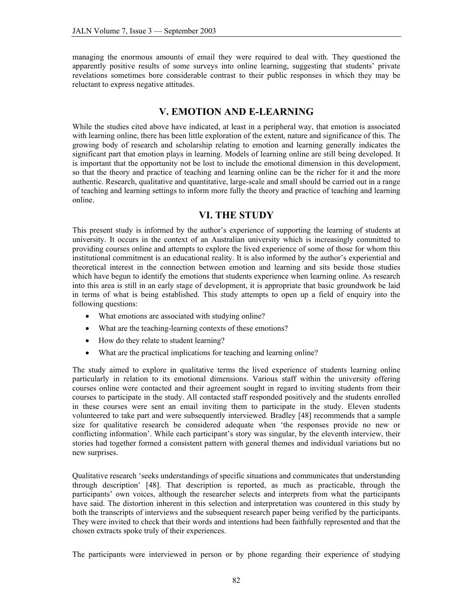managing the enormous amounts of email they were required to deal with. They questioned the apparently positive results of some surveys into online learning, suggesting that students' private revelations sometimes bore considerable contrast to their public responses in which they may be reluctant to express negative attitudes.

# **V. EMOTION AND E-LEARNING**

While the studies cited above have indicated, at least in a peripheral way, that emotion is associated with learning online, there has been little exploration of the extent, nature and significance of this. The growing body of research and scholarship relating to emotion and learning generally indicates the significant part that emotion plays in learning. Models of learning online are still being developed. It is important that the opportunity not be lost to include the emotional dimension in this development, so that the theory and practice of teaching and learning online can be the richer for it and the more authentic. Research, qualitative and quantitative, large-scale and small should be carried out in a range of teaching and learning settings to inform more fully the theory and practice of teaching and learning online.

# **VI. THE STUDY**

This present study is informed by the author's experience of supporting the learning of students at university. It occurs in the context of an Australian university which is increasingly committed to providing courses online and attempts to explore the lived experience of some of those for whom this institutional commitment is an educational reality. It is also informed by the author's experiential and theoretical interest in the connection between emotion and learning and sits beside those studies which have begun to identify the emotions that students experience when learning online. As research into this area is still in an early stage of development, it is appropriate that basic groundwork be laid in terms of what is being established. This study attempts to open up a field of enquiry into the following questions:

- What emotions are associated with studying online?
- What are the teaching-learning contexts of these emotions?
- How do they relate to student learning?
- What are the practical implications for teaching and learning online?

The study aimed to explore in qualitative terms the lived experience of students learning online particularly in relation to its emotional dimensions. Various staff within the university offering courses online were contacted and their agreement sought in regard to inviting students from their courses to participate in the study. All contacted staff responded positively and the students enrolled in these courses were sent an email inviting them to participate in the study. Eleven students volunteered to take part and were subsequently interviewed. Bradley [48] recommends that a sample size for qualitative research be considered adequate when 'the responses provide no new or conflicting information'. While each participant's story was singular, by the eleventh interview, their stories had together formed a consistent pattern with general themes and individual variations but no new surprises.

Qualitative research 'seeks understandings of specific situations and communicates that understanding through description' [48]. That description is reported, as much as practicable, through the participants' own voices, although the researcher selects and interprets from what the participants have said. The distortion inherent in this selection and interpretation was countered in this study by both the transcripts of interviews and the subsequent research paper being verified by the participants. They were invited to check that their words and intentions had been faithfully represented and that the chosen extracts spoke truly of their experiences.

The participants were interviewed in person or by phone regarding their experience of studying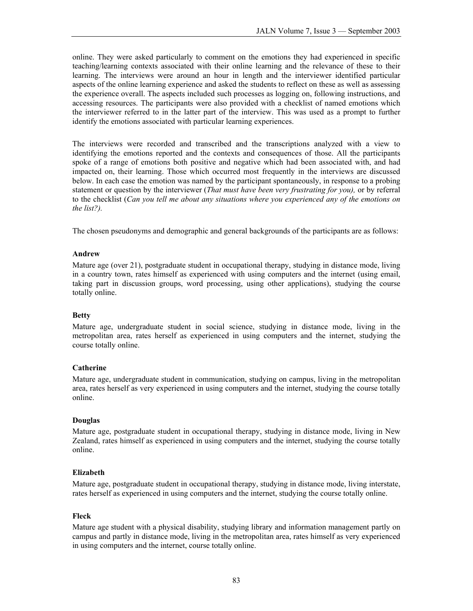online. They were asked particularly to comment on the emotions they had experienced in specific teaching/learning contexts associated with their online learning and the relevance of these to their learning. The interviews were around an hour in length and the interviewer identified particular aspects of the online learning experience and asked the students to reflect on these as well as assessing the experience overall. The aspects included such processes as logging on, following instructions, and accessing resources. The participants were also provided with a checklist of named emotions which the interviewer referred to in the latter part of the interview. This was used as a prompt to further identify the emotions associated with particular learning experiences.

The interviews were recorded and transcribed and the transcriptions analyzed with a view to identifying the emotions reported and the contexts and consequences of those. All the participants spoke of a range of emotions both positive and negative which had been associated with, and had impacted on, their learning. Those which occurred most frequently in the interviews are discussed below. In each case the emotion was named by the participant spontaneously, in response to a probing statement or question by the interviewer (*That must have been very frustrating for you),* or by referral to the checklist (*Can you tell me about any situations where you experienced any of the emotions on the list?).* 

The chosen pseudonyms and demographic and general backgrounds of the participants are as follows:

#### **Andrew**

Mature age (over 21), postgraduate student in occupational therapy, studying in distance mode, living in a country town, rates himself as experienced with using computers and the internet (using email, taking part in discussion groups, word processing, using other applications), studying the course totally online.

### **Betty**

Mature age, undergraduate student in social science, studying in distance mode, living in the metropolitan area, rates herself as experienced in using computers and the internet, studying the course totally online.

### **Catherine**

Mature age, undergraduate student in communication, studying on campus, living in the metropolitan area, rates herself as very experienced in using computers and the internet, studying the course totally online.

### **Douglas**

Mature age, postgraduate student in occupational therapy, studying in distance mode, living in New Zealand, rates himself as experienced in using computers and the internet, studying the course totally online.

### **Elizabeth**

Mature age, postgraduate student in occupational therapy, studying in distance mode, living interstate, rates herself as experienced in using computers and the internet, studying the course totally online.

#### **Fleck**

Mature age student with a physical disability, studying library and information management partly on campus and partly in distance mode, living in the metropolitan area, rates himself as very experienced in using computers and the internet, course totally online.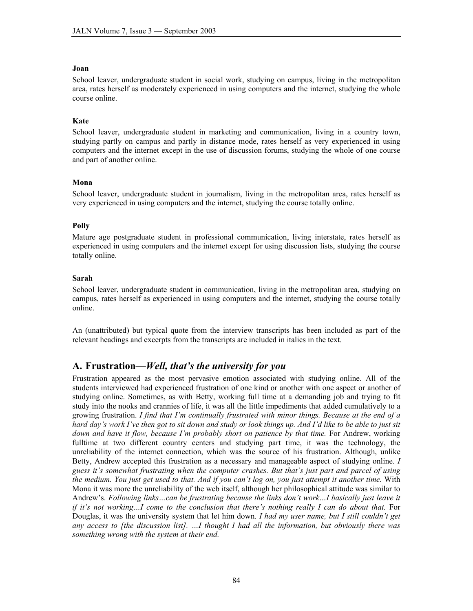#### **Joan**

School leaver, undergraduate student in social work, studying on campus, living in the metropolitan area, rates herself as moderately experienced in using computers and the internet, studying the whole course online.

### **Kate**

School leaver, undergraduate student in marketing and communication, living in a country town, studying partly on campus and partly in distance mode, rates herself as very experienced in using computers and the internet except in the use of discussion forums, studying the whole of one course and part of another online.

### **Mona**

School leaver, undergraduate student in journalism, living in the metropolitan area, rates herself as very experienced in using computers and the internet, studying the course totally online.

### **Polly**

Mature age postgraduate student in professional communication, living interstate, rates herself as experienced in using computers and the internet except for using discussion lists, studying the course totally online.

#### **Sarah**

School leaver, undergraduate student in communication, living in the metropolitan area, studying on campus, rates herself as experienced in using computers and the internet, studying the course totally online.

An (unattributed) but typical quote from the interview transcripts has been included as part of the relevant headings and excerpts from the transcripts are included in italics in the text.

# **A. Frustration—***Well, that's the university for you*

Frustration appeared as the most pervasive emotion associated with studying online. All of the students interviewed had experienced frustration of one kind or another with one aspect or another of studying online. Sometimes, as with Betty, working full time at a demanding job and trying to fit study into the nooks and crannies of life, it was all the little impediments that added cumulatively to a growing frustration. *I find that I'm continually frustrated with minor things. Because at the end of a hard day's work I've then got to sit down and study or look things up. And I'd like to be able to just sit*  down and have it flow, because I'm probably short on patience by that time. For Andrew, working fulltime at two different country centers and studying part time, it was the technology, the unreliability of the internet connection, which was the source of his frustration. Although, unlike Betty, Andrew accepted this frustration as a necessary and manageable aspect of studying online. *I guess it's somewhat frustrating when the computer crashes. But that's just part and parcel of using the medium. You just get used to that. And if you can't log on, you just attempt it another time.* With Mona it was more the unreliability of the web itself, although her philosophical attitude was similar to Andrew's. *Following links…can be frustrating because the links don't work…I basically just leave it if it's not working...I come to the conclusion that there's nothing really I can do about that.* For Douglas, it was the university system that let him down*. I had my user name, but I still couldn't get any access to [the discussion list]. …I thought I had all the information, but obviously there was something wrong with the system at their end.*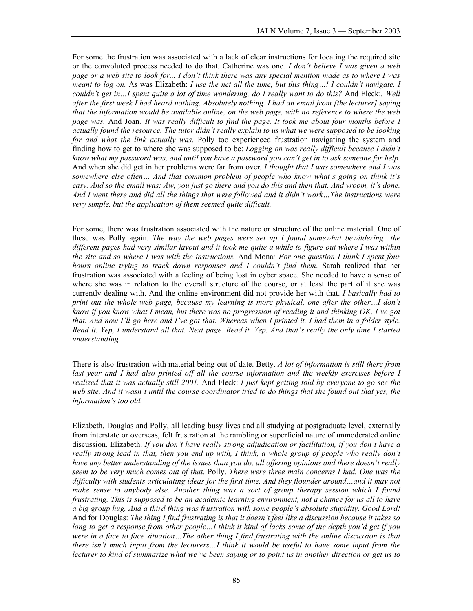For some the frustration was associated with a lack of clear instructions for locating the required site or the convoluted process needed to do that. Catherine was one*. I don't believe I was given a web page or a web site to look for... I don't think there was any special mention made as to where I was meant to log on.* As was Elizabeth: *I use the net all the time, but this thing…! I couldn't navigate. I couldn't get in…I spent quite a lot of time wondering, do I really want to do this?* And Fleck:*. Well after the first week I had heard nothing. Absolutely nothing. I had an email from [the lecturer] saying that the information would be available online, on the web page, with no reference to where the web page was.* And Joan*: It was really difficult to find the page. It took me about four months before I actually found the resource. The tutor didn't really explain to us what we were supposed to be looking for and what the link actually was.* Polly too experienced frustration navigating the system and finding how to get to where she was supposed to be: *Logging on was really difficult because I didn't know what my password was, and until you have a password you can't get in to ask someone for help.*  And when she did get in her problems were far from over*. I thought that I was somewhere and I was somewhere else often… And that common problem of people who know what's going on think it's easy. And so the email was: Aw, you just go there and you do this and then that. And vroom, it's done. And I went there and did all the things that were followed and it didn't work…The instructions were very simple, but the application of them seemed quite difficult.* 

For some, there was frustration associated with the nature or structure of the online material. One of these was Polly again. *The way the web pages were set up I found somewhat bewildering…the different pages had very similar layout and it took me quite a while to figure out where I was within the site and so where I was with the instructions.* And Mona*: For one question I think I spent four hours online trying to track down responses and I couldn't find them*. Sarah realized that her frustration was associated with a feeling of being lost in cyber space. She needed to have a sense of where she was in relation to the overall structure of the course, or at least the part of it she was currently dealing with. And the online environment did not provide her with that. *I basically had to print out the whole web page, because my learning is more physical, one after the other...I don't know if you know what I mean, but there was no progression of reading it and thinking OK, I've got that. And now I'll go here and I've got that. Whereas when I printed it, I had them in a folder style. Read it. Yep, I understand all that. Next page. Read it. Yep. And that's really the only time I started understanding.* 

There is also frustration with material being out of date. Betty. *A lot of information is still there from last year and I had also printed off all the course information and the weekly exercises before I realized that it was actually still 2001.* And Fleck: *I just kept getting told by everyone to go see the web site. And it wasn't until the course coordinator tried to do things that she found out that yes, the information's too old.* 

Elizabeth, Douglas and Polly, all leading busy lives and all studying at postgraduate level, externally from interstate or overseas, felt frustration at the rambling or superficial nature of unmoderated online discussion. Elizabeth. *If you don't have really strong adjudication or facilitation, if you don't have a really strong lead in that, then you end up with, I think, a whole group of people who really don't have any better understanding of the issues than you do, all offering opinions and there doesn't really seem to be very much comes out of that.* Polly. *There were three main concerns I had. One was the difficulty with students articulating ideas for the first time. And they flounder around…and it may not make sense to anybody else. Another thing was a sort of group therapy session which I found frustrating. This is supposed to be an academic learning environment, not a chance for us all to have a big group hug. And a third thing was frustration with some people's absolute stupidity. Good Lord!*  And for Douglas: *The thing I find frustrating is that it doesn't feel like a discussion because it takes so long to get a response from other people…I think it kind of lacks some of the depth you'd get if you were in a face to face situation…The other thing I find frustrating with the online discussion is that there isn't much input from the lecturers…I think it would be useful to have some input from the lecturer to kind of summarize what we've been saying or to point us in another direction or get us to*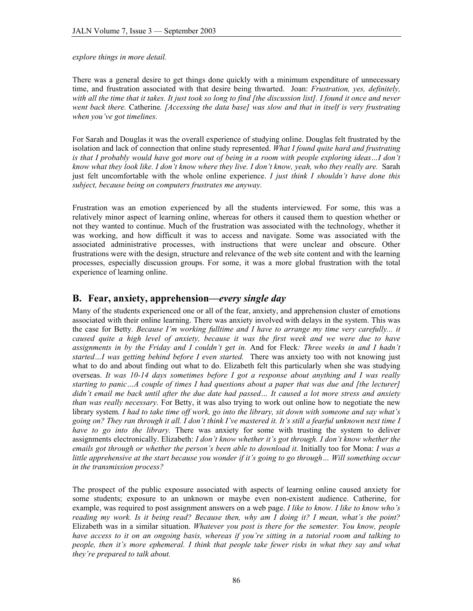*explore things in more detail.* 

There was a general desire to get things done quickly with a minimum expenditure of unnecessary time, and frustration associated with that desire being thwarted. Joan: *Frustration, yes, definitely,*  with all the time that it takes. It just took so long to find [the discussion list]. I found it once and never *went back there.* Catherine*. [Accessing the data base] was slow and that in itself is very frustrating when you've got timelines.* 

For Sarah and Douglas it was the overall experience of studying online. Douglas felt frustrated by the isolation and lack of connection that online study represented. *What I found quite hard and frustrating*  is that I probably would have got more out of being in a room with people exploring ideas...I don't *know what they look like. I don't know where they live. I don't know, yeah, who they really are.* Sarah just felt uncomfortable with the whole online experience. *I just think I shouldn't have done this subject, because being on computers frustrates me anyway.* 

Frustration was an emotion experienced by all the students interviewed. For some, this was a relatively minor aspect of learning online, whereas for others it caused them to question whether or not they wanted to continue. Much of the frustration was associated with the technology, whether it was working, and how difficult it was to access and navigate. Some was associated with the associated administrative processes, with instructions that were unclear and obscure. Other frustrations were with the design, structure and relevance of the web site content and with the learning processes, especially discussion groups. For some, it was a more global frustration with the total experience of learning online.

# **B. Fear, anxiety, apprehension—***every single day*

Many of the students experienced one or all of the fear, anxiety, and apprehension cluster of emotions associated with their online learning. There was anxiety involved with delays in the system. This was the case for Betty*. Because I'm working fulltime and I have to arrange my time very carefully... it caused quite a high level of anxiety, because it was the first week and we were due to have assignments in by the Friday and I couldn't get in.* And for Fleck*: Three weeks in and I hadn't started…I was getting behind before I even started.* There was anxiety too with not knowing just what to do and about finding out what to do. Elizabeth felt this particularly when she was studying overseas. *It was 10-14 days sometimes before I got a response about anything and I was really starting to panic…A couple of times I had questions about a paper that was due and [the lecturer] didn't email me back until after the due date had passed… It caused a lot more stress and anxiety than was really necessary*. For Betty, it was also trying to work out online how to negotiate the new library system*. I had to take time off work, go into the library, sit down with someone and say what's going on? They ran through it all. I don't think I've mastered it. It's still a fearful unknown next time I have to go into the library.* There was anxiety for some with trusting the system to deliver assignments electronically. Elizabeth: *I don't know whether it's got through. I don't know whether the emails got through or whether the person's been able to download it. Initially too for Mona: I was a little apprehensive at the start because you wonder if it's going to go through… Will something occur in the transmission process?* 

The prospect of the public exposure associated with aspects of learning online caused anxiety for some students; exposure to an unknown or maybe even non-existent audience. Catherine, for example, was required to post assignment answers on a web page. *I like to know. I like to know who's reading my work. Is it being read? Because then, why am I doing it? I mean, what's the point?* Elizabeth was in a similar situation. *Whatever you post is there for the semester. You know, people have access to it on an ongoing basis, whereas if you're sitting in a tutorial room and talking to people, then it's more ephemeral. I think that people take fewer risks in what they say and what they're prepared to talk about.*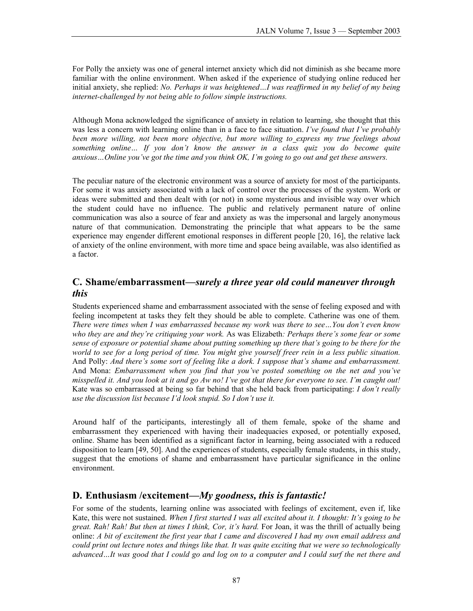For Polly the anxiety was one of general internet anxiety which did not diminish as she became more familiar with the online environment. When asked if the experience of studying online reduced her initial anxiety, she replied: *No. Perhaps it was heightened…I was reaffirmed in my belief of my being internet-challenged by not being able to follow simple instructions.* 

Although Mona acknowledged the significance of anxiety in relation to learning, she thought that this was less a concern with learning online than in a face to face situation. *I've found that I've probably been more willing, not been more objective, but more willing to\_express my true feelings about something online… If you don't know the answer in a class quiz you do become quite anxious…Online you've got the time and you think OK, I'm going to go out and get these answers.* 

The peculiar nature of the electronic environment was a source of anxiety for most of the participants. For some it was anxiety associated with a lack of control over the processes of the system. Work or ideas were submitted and then dealt with (or not) in some mysterious and invisible way over which the student could have no influence. The public and relatively permanent nature of online communication was also a source of fear and anxiety as was the impersonal and largely anonymous nature of that communication. Demonstrating the principle that what appears to be the same experience may engender different emotional responses in different people [20, 16], the relative lack of anxiety of the online environment, with more time and space being available, was also identified as a factor.

# **C. Shame/embarrassment—***surely a three year old could maneuver through this*

Students experienced shame and embarrassment associated with the sense of feeling exposed and with feeling incompetent at tasks they felt they should be able to complete. Catherine was one of them*. There were times when I was embarrassed because my work was there to see…You don't even know who they are and they're critiquing your work.* As was Elizabeth*: Perhaps there's some fear or some sense of exposure or potential shame about putting something up there that's going to be there for the world to see for a long period of time. You might give yourself freer rein in a less public situation.*  And Polly: *And there's some sort of feeling like a dork. I suppose that's shame and embarrassment.* And Mona: *Embarrassment when you find that you've posted something on the net and you've misspelled it. And you look at it and go Aw no! I've got that there for everyone to see. I'm caught out!*  Kate was so embarrassed at being so far behind that she held back from participating: *I don't really use the discussion list because I'd look stupid. So I don't use it.* 

Around half of the participants, interestingly all of them female, spoke of the shame and embarrassment they experienced with having their inadequacies exposed, or potentially exposed, online. Shame has been identified as a significant factor in learning, being associated with a reduced disposition to learn [49, 50]. And the experiences of students, especially female students, in this study, suggest that the emotions of shame and embarrassment have particular significance in the online environment.

# **D. Enthusiasm /excitement—***My goodness, this is fantastic!*

For some of the students, learning online was associated with feelings of excitement, even if, like Kate, this were not sustained. *When I first started I was all excited about it. I thought: It's going to be great. Rah! Rah! But then at times I think, Cor, it's hard.* For Joan, it was the thrill of actually being online: *A bit of excitement the first year that I came and discovered I had my own email address and could print out lecture notes and things like that. It was quite exciting that we were so technologically advanced…It was good that I could go and log on to a computer and I could surf the net there and*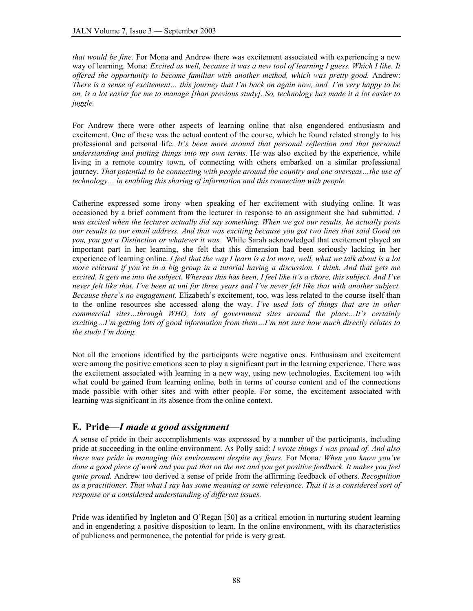*that would be fine.* For Mona and Andrew there was excitement associated with experiencing a new way of learning. Mona: *Excited as well, because it was a new tool of learning I guess. Which I like. It offered the opportunity to become familiar with another method, which was pretty good.* Andrew: *There is a sense of excitement… this journey that I'm back on again now, and I'm very happy to be on, is a lot easier for me to manage [than previous study]. So, technology has made it a lot easier to juggle.* 

For Andrew there were other aspects of learning online that also engendered enthusiasm and excitement. One of these was the actual content of the course, which he found related strongly to his professional and personal life. *It's been more around that personal reflection and that personal understanding and putting things into my own terms.* He was also excited by the experience, while living in a remote country town, of connecting with others embarked on a similar professional journey. *That potential to be connecting with people around the country and one overseas…the use of technology… in enabling this sharing of information and this connection with people.*

Catherine expressed some irony when speaking of her excitement with studying online. It was occasioned by a brief comment from the lecturer in response to an assignment she had submitted. *I was excited when the lecturer actually did say something. When we got our results, he actually posts our results to our email address. And that was exciting because you got two lines that said Good on you, you got a Distinction or whatever it was.* While Sarah acknowledged that excitement played an important part in her learning, she felt that this dimension had been seriously lacking in her experience of learning online. *I feel that the way I learn is a lot more, well, what we talk about is a lot more relevant if you're in a big group in a tutorial having a discussion. I think. And that gets me excited. It gets me into the subject. Whereas this has been, I feel like it's a chore, this subject. And I've never felt like that. I've been at uni for three years and I've never felt like that with another subject. Because there's no engagement.* Elizabeth's excitement, too, was less related to the course itself than to the online resources she accessed along the way. *I've used lots of things that are in other commercial sites…through WHO, lots of government sites around the place…It's certainly exciting…I'm getting lots of good information from them…I'm not sure how much directly relates to the study I'm doing.* 

Not all the emotions identified by the participants were negative ones. Enthusiasm and excitement were among the positive emotions seen to play a significant part in the learning experience. There was the excitement associated with learning in a new way, using new technologies. Excitement too with what could be gained from learning online, both in terms of course content and of the connections made possible with other sites and with other people. For some, the excitement associated with learning was significant in its absence from the online context.

# **E. Pride—***I made a good assignment*

A sense of pride in their accomplishments was expressed by a number of the participants, including pride at succeeding in the online environment. As Polly said: *I wrote things I was proud of. And also there was pride in managing this environment despite my fears.* For Mona*: When you know you've done a good piece of work and you put that on the net and you get positive feedback. It makes you feel quite proud.* Andrew too derived a sense of pride from the affirming feedback of others. *Recognition as a practitioner. That what I say has some meaning or some relevance. That it is a considered sort of response or a considered understanding of different issues.* 

Pride was identified by Ingleton and O'Regan [50] as a critical emotion in nurturing student learning and in engendering a positive disposition to learn. In the online environment, with its characteristics of publicness and permanence, the potential for pride is very great.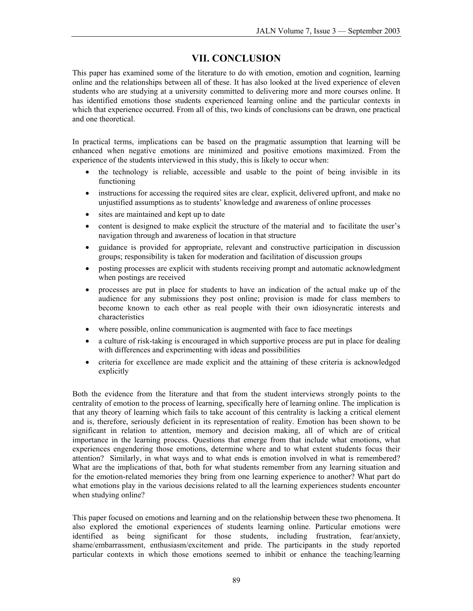# **VII. CONCLUSION**

This paper has examined some of the literature to do with emotion, emotion and cognition, learning online and the relationships between all of these. It has also looked at the lived experience of eleven students who are studying at a university committed to delivering more and more courses online. It has identified emotions those students experienced learning online and the particular contexts in which that experience occurred. From all of this, two kinds of conclusions can be drawn, one practical and one theoretical.

In practical terms, implications can be based on the pragmatic assumption that learning will be enhanced when negative emotions are minimized and positive emotions maximized. From the experience of the students interviewed in this study, this is likely to occur when:

- the technology is reliable, accessible and usable to the point of being invisible in its functioning
- instructions for accessing the required sites are clear, explicit, delivered upfront, and make no unjustified assumptions as to students' knowledge and awareness of online processes
- sites are maintained and kept up to date
- content is designed to make explicit the structure of the material and to facilitate the user's navigation through and awareness of location in that structure
- guidance is provided for appropriate, relevant and constructive participation in discussion groups; responsibility is taken for moderation and facilitation of discussion groups
- posting processes are explicit with students receiving prompt and automatic acknowledgment when postings are received
- processes are put in place for students to have an indication of the actual make up of the audience for any submissions they post online; provision is made for class members to become known to each other as real people with their own idiosyncratic interests and characteristics
- where possible, online communication is augmented with face to face meetings
- a culture of risk-taking is encouraged in which supportive process are put in place for dealing with differences and experimenting with ideas and possibilities
- criteria for excellence are made explicit and the attaining of these criteria is acknowledged explicitly

Both the evidence from the literature and that from the student interviews strongly points to the centrality of emotion to the process of learning, specifically here of learning online. The implication is that any theory of learning which fails to take account of this centrality is lacking a critical element and is, therefore, seriously deficient in its representation of reality. Emotion has been shown to be significant in relation to attention, memory and decision making, all of which are of critical importance in the learning process. Questions that emerge from that include what emotions, what experiences engendering those emotions, determine where and to what extent students focus their attention? Similarly, in what ways and to what ends is emotion involved in what is remembered? What are the implications of that, both for what students remember from any learning situation and for the emotion-related memories they bring from one learning experience to another? What part do what emotions play in the various decisions related to all the learning experiences students encounter when studying online?

This paper focused on emotions and learning and on the relationship between these two phenomena. It also explored the emotional experiences of students learning online. Particular emotions were identified as being significant for those students, including frustration, fear/anxiety, shame/embarrassment, enthusiasm/excitement and pride. The participants in the study reported particular contexts in which those emotions seemed to inhibit or enhance the teaching/learning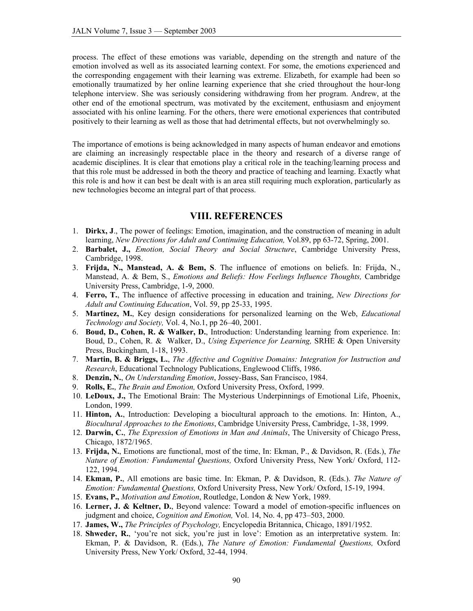process. The effect of these emotions was variable, depending on the strength and nature of the emotion involved as well as its associated learning context. For some, the emotions experienced and the corresponding engagement with their learning was extreme. Elizabeth, for example had been so emotionally traumatized by her online learning experience that she cried throughout the hour-long telephone interview. She was seriously considering withdrawing from her program. Andrew, at the other end of the emotional spectrum, was motivated by the excitement, enthusiasm and enjoyment associated with his online learning. For the others, there were emotional experiences that contributed positively to their learning as well as those that had detrimental effects, but not overwhelmingly so.

The importance of emotions is being acknowledged in many aspects of human endeavor and emotions are claiming an increasingly respectable place in the theory and research of a diverse range of academic disciplines. It is clear that emotions play a critical role in the teaching/learning process and that this role must be addressed in both the theory and practice of teaching and learning. Exactly what this role is and how it can best be dealt with is an area still requiring much exploration, particularly as new technologies become an integral part of that process.

# **VIII. REFERENCES**

- 1. **Dirkx, J**., The power of feelings: Emotion, imagination, and the construction of meaning in adult learning, *New Directions for Adult and Continuing Education,* Vol.89, pp 63-72, Spring, 2001.
- 2. **Barbalet, J.,** *Emotion, Social Theory and Social Structure*, Cambridge University Press, Cambridge, 1998.
- 3. **Frijda, N., Manstead, A. & Bem, S**. The influence of emotions on beliefs. In: Frijda, N., Manstead, A. & Bem, S., *Emotions and Beliefs: How Feelings Influence Thoughts,* Cambridge University Press, Cambridge, 1-9, 2000.
- 4. **Ferro, T.**, The influence of affective processing in education and training, *New Directions for Adult and Continuing Education*, Vol. 59, pp 25-33, 1995.
- 5. **Martinez, M.**, Key design considerations for personalized learning on the Web, *Educational Technology and Society,* Vol. 4, No.1, pp 26–40, 2001.
- 6. **Boud, D., Cohen, R. & Walker, D.**, Introduction: Understanding learning from experience. In: Boud, D., Cohen, R. & Walker, D., *Using Experience for Learning,* SRHE & Open University Press, Buckingham, 1-18, 1993.
- 7. **Martin, B. & Briggs, L.**, *The Affective and Cognitive Domains: Integration for Instruction and Research*, Educational Technology Publications, Englewood Cliffs, 1986.
- 8. **Denzin, N.**, *On Understanding Emotion*, Jossey-Bass, San Francisco, 1984.
- 9. **Rolls, E.**, *The Brain and Emotion,* Oxford University Press, Oxford, 1999.
- 10. **LeDoux, J.,** The Emotional Brain: The Mysterious Underpinnings of Emotional Life, Phoenix, London, 1999.
- 11. **Hinton, A.**, Introduction: Developing a biocultural approach to the emotions. In: Hinton, A., *Biocultural Approaches to the Emotions*, Cambridge University Press, Cambridge, 1-38, 1999.
- 12. **Darwin, C.**, *The Expression of Emotions in Man and Animals*, The University of Chicago Press, Chicago, 1872/1965.
- 13. **Frijda, N.**, Emotions are functional, most of the time, In: Ekman, P., & Davidson, R. (Eds.), *The Nature of Emotion: Fundamental Questions,* Oxford University Press, New York/ Oxford, 112- 122, 1994.
- 14. **Ekman, P.**, All emotions are basic time. In: Ekman, P. & Davidson, R. (Eds.). *The Nature of Emotion: Fundamental Questions,* Oxford University Press, New York/ Oxford, 15-19, 1994.
- 15. **Evans, P.,** *Motivation and Emotion*, Routledge, London & New York, 1989.
- 16. **Lerner, J. & Keltner, D.**, Beyond valence: Toward a model of emotion-specific influences on judgment and choice, *Cognition and Emotion,* Vol. 14, No. 4, pp 473–503, 2000.
- 17. **James, W.,** *The Principles of Psychology,* Encyclopedia Britannica, Chicago, 1891/1952.
- 18. **Shweder, R.**, 'you're not sick, you're just in love': Emotion as an interpretative system. In: Ekman, P. & Davidson, R. (Eds.), *The Nature of Emotion: Fundamental Questions,* Oxford University Press, New York/ Oxford, 32-44, 1994.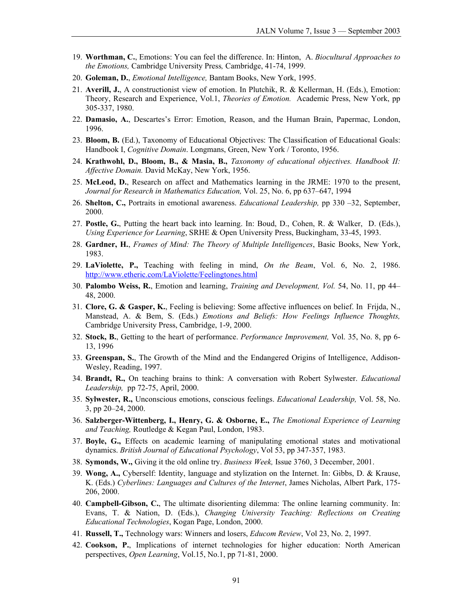- 19. **Worthman, C.**, Emotions: You can feel the difference. In: Hinton, A. *Biocultural Approaches to the Emotions,* Cambridge University Press*,* Cambridge, 41-74, 1999.
- 20. **Goleman, D.**, *Emotional Intelligence,* Bantam Books, New York, 1995.
- 21. **Averill, J.**, A constructionist view of emotion. In Plutchik, R. & Kellerman, H. (Eds.), Emotion: Theory, Research and Experience, Vol.1, *Theories of Emotion.* Academic Press, New York, pp 305-337, 1980.
- 22. **Damasio, A.**, Descartes's Error: Emotion, Reason, and the Human Brain, Papermac, London, 1996.
- 23. **Bloom, B.** (Ed.), Taxonomy of Educational Objectives: The Classification of Educational Goals: Handbook I, *Cognitive Domain*. Longmans, Green, New York / Toronto, 1956.
- 24. **Krathwohl, D., Bloom, B., & Masia, B.,** *Taxonomy of educational objectives. Handbook II: Affective Domain.* David McKay, New York, 1956.
- 25. **McLeod, D.**, Research on affect and Mathematics learning in the JRME: 1970 to the present, *Journal for Research in Mathematics Education,* Vol. 25, No. 6, pp 637–647, 1994
- 26. **Shelton, C.,** Portraits in emotional awareness. *Educational Leadership,* pp 330 –32, September, 2000.
- 27. **Postle, G.**, Putting the heart back into learning. In: Boud, D., Cohen, R. & Walker, D. (Eds.), *Using Experience for Learning*, SRHE & Open University Press, Buckingham, 33-45, 1993.
- 28. **Gardner, H.**, *Frames of Mind: The Theory of Multiple Intelligences*, Basic Books, New York, 1983.
- 29. **LaViolette, P.,** Teaching with feeling in mind, *On the Beam*, Vol. 6, No. 2, 1986. <http://www.etheric.com/LaViolette/Feelingtones.html>
- 30. **Palombo Weiss, R.**, Emotion and learning, *Training and Development, Vol.* 54, No. 11, pp 44– 48, 2000.
- 31. **Clore, G. & Gasper, K.**, Feeling is believing: Some affective influences on belief. In Frijda, N., Manstead, A. & Bem, S. (Eds.) *Emotions and Beliefs: How Feelings Influence Thoughts,*  Cambridge University Press, Cambridge, 1-9, 2000.
- 32. **Stock, B.**, Getting to the heart of performance. *Performance Improvement,* Vol. 35, No. 8, pp 6- 13, 1996
- 33. **Greenspan, S.**, The Growth of the Mind and the Endangered Origins of Intelligence, Addison-Wesley, Reading, 1997.
- 34. **Brandt, R.,** On teaching brains to think: A conversation with Robert Sylwester. *Educational Leadership,* pp 72-75, April, 2000.
- 35. **Sylwester, R.,** Unconscious emotions, conscious feelings. *Educational Leadership,* Vol. 58, No. 3, pp 20–24, 2000.
- 36. **Salzberger-Wittenberg, I., Henry, G. & Osborne, E.,** *The Emotional Experience of Learning and Teaching,* Routledge & Kegan Paul, London, 1983.
- 37. **Boyle, G.,** Effects on academic learning of manipulating emotional states and motivational dynamics. *British Journal of Educational Psychology*, Vol 53, pp 347-357, 1983.
- 38. **Symonds, W.,** Giving it the old online try. *Business Week,* Issue 3760, 3 December, 2001.
- 39. **Wong, A.,** Cyberself: Identity, language and stylization on the Internet. In: Gibbs, D. & Krause, K. (Eds.) *Cyberlines: Languages and Cultures of the Internet*, James Nicholas, Albert Park, 175- 206, 2000.
- 40. **Campbell-Gibson, C.**, The ultimate disorienting dilemma: The online learning community. In: Evans, T. & Nation, D. (Eds.), *Changing University Teaching: Reflections on Creating Educational Technologies*, Kogan Page, London, 2000.
- 41. **Russell, T.,** Technology wars: Winners and losers, *Educom Review*, Vol 23, No. 2, 1997.
- 42. **Cookson, P.**, Implications of internet technologies for higher education: North American perspectives, *Open Learning*, Vol.15, No.1, pp 71-81, 2000.